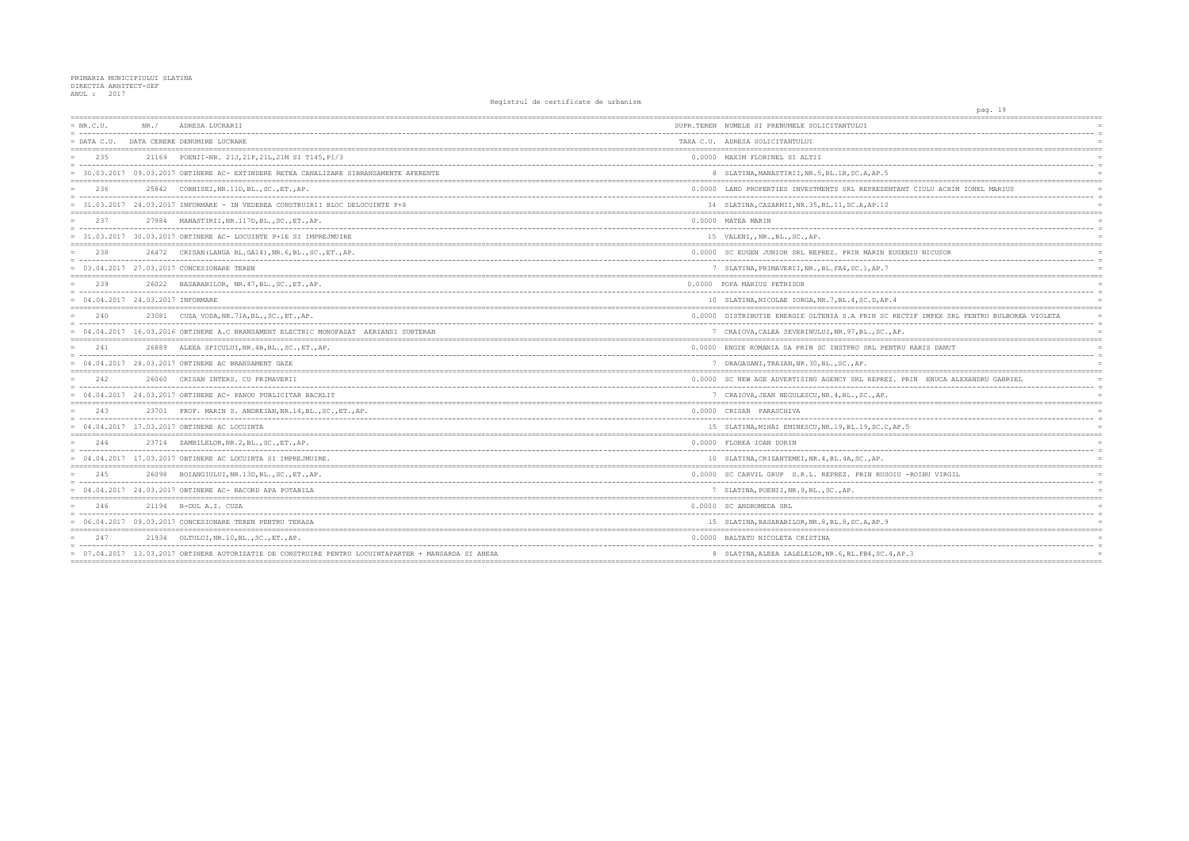## PRIMARIA MUNICIPIULUI SLATINA<br>DIRECTIA ARHITECT-SEF<br>ANUL : 2017

| $= NR.C.U.$                         | NR. / | ADRESA LUCRARII                                                                                      | SUPR.TEREN NUMELE SI PRENUMELE SOLICITANTULUI         |
|-------------------------------------|-------|------------------------------------------------------------------------------------------------------|-------------------------------------------------------|
| $=$ DATA C.U.                       |       | DATA CERERE DENUMIRE LUCRARE                                                                         | TAXA C.U. ADRESA SOLICITANTULUI                       |
| 235                                 |       | 21169 POENII-NR, 21J, 21P, 21L, 21M SI T145, P1/3                                                    | 0.0000 MAXIM FLORINEL SI ALTII                        |
|                                     |       | = 30.03.2017 09.03.2017 OBTINERE AC- EXTINDERE RETEA CANALIZARE SIBRANSAMENTE AFERENTE               | 8 SLATINA, MANASTIRII, NR. 5, BL. 1B, SC. A, AP. 5    |
| 236                                 |       | 25842 CORNISEI, NR. 11D, BL., SC., ET., AP.                                                          | 0.0000 LAND PROPERTIES INVESTMENTS SRL REPREZENTA     |
|                                     |       | = 31.03.2017 24.03.2017 INFORMARE - IN VEDEREA CONSTRUIRII BLOC DELOCUINTE P+8                       | 34 SLATINA, CAZARMII, NR. 35, BL. 11, SC. A, AP. 10   |
| 237                                 |       | 27984 MANASTIRII, NR.117D, BL., SC., ET., AP.                                                        | 0.0000 MATEA MARIN                                    |
|                                     |       | = 31.03.2017 30.03.2017 OBTINERE AC- LOCUINTE P+1E SI IMPREJMUIRE                                    | 15 VALENI,, NR., BL., SC., AP.                        |
| 238                                 |       | 26472 CRISAN (LANGA BL.GA14), NR. 6, BL., SC., ET., AP.                                              | 0.0000 SC EUGEN JUNIOR SRL REPREZ. PRIN MARIN EUG     |
|                                     |       | = 03.04.2017 27.03.2017 CONCESIONARE TEREN                                                           | 7 SLATINA, PRIMAVERII, NR., BL. FA4, SC. 1, AP. 7     |
| 239                                 |       | 26022 BASARABILOR, NR. 47, BL., SC., ET., AP.                                                        | 0.0000 POPA MARIUS PETRISOR                           |
| $= 04.04.2017 24.03.2017$ INFORMARE |       |                                                                                                      | 10 SLATINA, NICOLAE IORGA, NR. 7, BL. 4, SC. D, AP. 4 |
| 2.40                                |       | 23081 CUZA VODA, NR. 71A, BL., SC., ET., AP.                                                         | 0.0000 DISTRIBUTIE ENERGIE OLTENIA S.A PRIN SC RE     |
|                                     |       | = 04.04.2017 16.03.2016 OBTINERE A.C BRANSAMENT ELECTRIC MONOFAZAT AERIANSI SUBTERAN                 | 7 CRAIOVA, CALEA SEVERINULUI, NR. 97, BL., SC., AP    |
| 2.41                                |       | 26889 ALEEA SPICULUI, NR. 4B, BL., SC., ET., AP.                                                     | 0.0000 ENGIE ROMANIA SA PRIN SC INSTPRO SRL PENTR     |
|                                     |       | $= 04.04.2017 28.03.2017$ OBTINERE AC BRANSAMENT GAZE                                                | 7 DRAGASANI, TRAIAN, NR. 30, BL., SC., AP.            |
| 242                                 |       | 26060 CRISAN INTERS. CU PRIMAVERII                                                                   | 0.0000 SC NEW AGE ADVERTISING AGENCY SRL REPREZ.      |
|                                     |       | $= 04.04.2017 24.03.2017$ OBTINERE AC- PANOU PUBLICITAR BACKLIT                                      | 7 CRAIOVA, JEAN NEGULESCU, NR. 4, BL., SC., AP.       |
| 243                                 |       | 23701 PROF. MARIN S. ANDREIAN, NR. 14, BL., SC., ET., AP.                                            | 0.0000 CRISAN PARASCHIVA                              |
|                                     |       | = 04.04.2017 17.03.2017 OBTINERE AC LOCUINTA                                                         | 15 SLATINA, MIHAI EMINESCU, NR. 19, BL. 19, SC. C, AP |
| 2.44                                |       | 23714 ZAMBILELOR, NR. 2, BL., SC., ET., AP.                                                          | 0.0000 FLOREA IOAN DORIN                              |
|                                     |       | $= 04.04.2017$ 17.03.2017 OBTINERE AC LOCUINTA SI IMPREJMUIRE.                                       | 10 SLATINA, CRIZANTEMEI, NR. 4, BL. 4A, SC., AP.      |
| 245                                 |       | 26098 BOIANGIULUI, NR.13D, BL., SC., ET., AP.                                                        | 0.0000 SC CARVIL GRUP S.R.L. REPREZ. PRIN RUSOIU      |
|                                     |       | $= 04.04.2017$ 24.03.2017 OBTINERE AC-RACORD APA POTABILA                                            | 7 SLATINA, POENII, NR. 9, BL., SC., AP.               |
| 246                                 |       | 21194 B-DUL A.I. CUZA                                                                                | 0.0000 SC ANDROMEDA SRL                               |
|                                     |       | = 06.04.2017 09.03.2017 CONCESIONARE TEREN PENTRU TERASA                                             | 15 SLATINA, BASARABILOR, NR. 8, BL. 8, SC. A, AP. 9   |
| 247                                 | 21934 | OLTULUI, NR.10, BL., SC., ET., AP.                                                                   | 0.0000 BALTATU NICOLETA CRISTINA                      |
|                                     |       | = 07.04.2017 13.03.2017 OBTINERE AUTORIZATIE DE CONSTRUIRE PENTRU LOCUINTAPARTER + MANSARDA SI ANEXA | 8 SLATINA, ALEEA LALELELOR, NR. 6, BL. FB4, SC. 4, A  |

| pag. 19                                  |                 |
|------------------------------------------|-----------------|
|                                          |                 |
|                                          |                 |
|                                          | $=$             |
|                                          |                 |
|                                          |                 |
|                                          | $\equiv$        |
|                                          |                 |
| TANT CIULU ACHIM IONEL MARIUS            |                 |
|                                          | $\equiv$        |
|                                          | $\equiv$        |
|                                          |                 |
|                                          |                 |
|                                          | $\equiv$        |
|                                          |                 |
|                                          |                 |
| UGENIU NICUSOR                           | $\equiv$        |
|                                          | $=$             |
|                                          |                 |
|                                          |                 |
|                                          | $\equiv$        |
| 4                                        |                 |
| RECTIF IMPEX SRL PENTRU BULBOREA VIOLETA |                 |
| -------------------------                | $\equiv$        |
| AP.                                      |                 |
| ==========                               |                 |
| TRU RARIS DANUT                          |                 |
|                                          | $\equiv$        |
|                                          | $=$             |
| . PRIN ENUCA ALEXANDRU GABRIEL           |                 |
|                                          | $\equiv$        |
|                                          |                 |
|                                          |                 |
|                                          |                 |
|                                          | $\equiv$        |
| AP.5                                     |                 |
|                                          |                 |
|                                          | $\equiv$        |
|                                          |                 |
|                                          |                 |
| IU -ROIBU VIRGIL                         |                 |
|                                          | $\equiv$        |
|                                          |                 |
|                                          | $=$<br>$\equiv$ |
|                                          |                 |
|                                          | $\equiv$        |
|                                          |                 |
|                                          |                 |
|                                          | $\equiv$        |
| , $AP.3$                                 |                 |
|                                          |                 |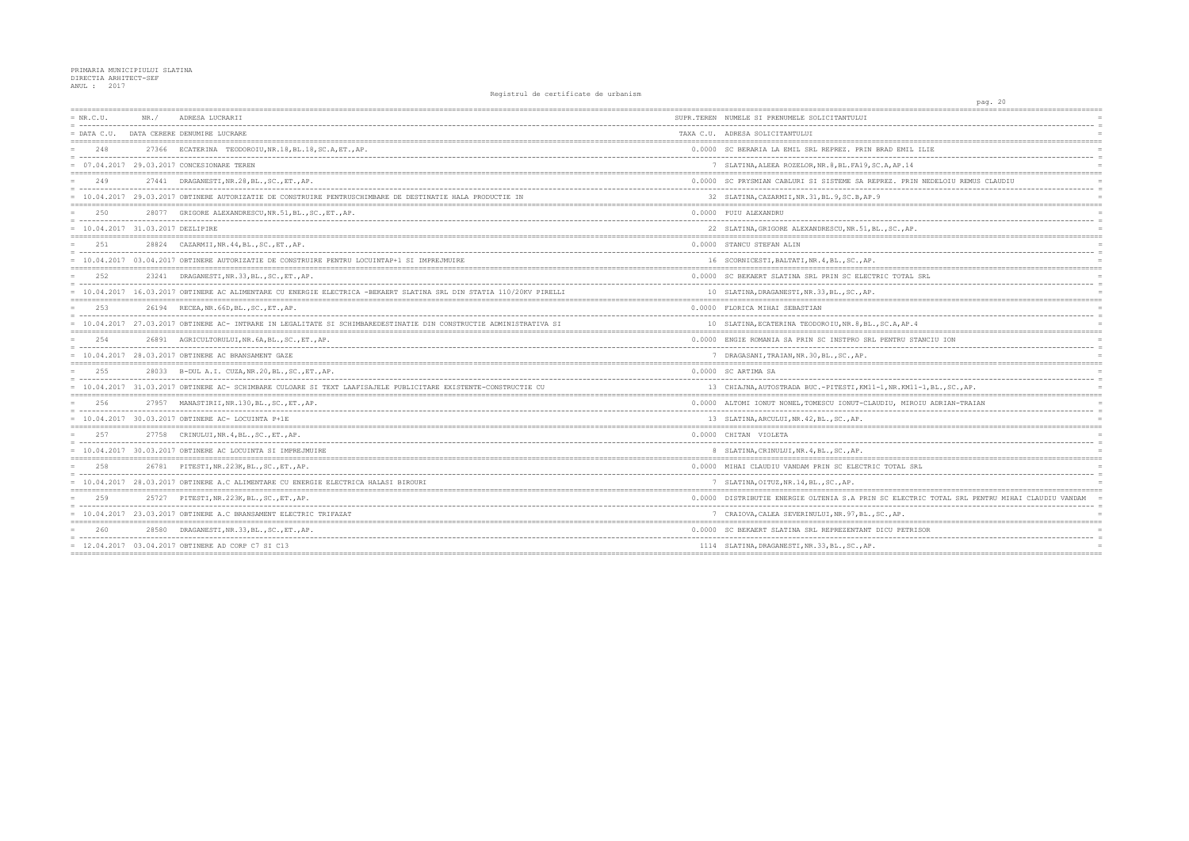| $= NR.C.U.$                         | NR. / | ADRESA LUCRARII                                                                                                     | SUPR.TEREN NUMELE SI PRENUMELE SOLICITANTULUI        |
|-------------------------------------|-------|---------------------------------------------------------------------------------------------------------------------|------------------------------------------------------|
|                                     |       | = DATA C.U. DATA CERERE DENUMIRE LUCRARE                                                                            | TAXA C.U. ADRESA SOLICITANTULUI                      |
| 248                                 |       | 27366 ECATERINA TEODOROIU, NR.18, BL.18, SC.A, ET., AP.                                                             | 0.0000 SC BERARIA LA EMIL SRL REPREZ. PRIN BRAD EI   |
|                                     |       | = 07.04.2017 29.03.2017 CONCESIONARE TEREN                                                                          | 7 SLATINA, ALEEA ROZELOR, NR. 8, BL. FA19, SC. A, AP |
| 249                                 |       | 27441 DRAGANESTI, NR. 28, BL., SC., ET., AP.                                                                        | 0.0000 SC PRYSMIAN CABLURI SI SISTEME SA REPREZ.     |
|                                     |       | 10.04.2017 29.03.2017 OBTINERE AUTORIZATIE DE CONSTRUIRE PENTRUSCHIMBARE DE DESTINATIE HALA PRODUCTIE IN            | 32 SLATINA, CAZARMII, NR. 31, BL. 9, SC. B, AP. 9    |
| 2.50                                |       | 28077 GRIGORE ALEXANDRESCU, NR.51, BL., SC., ET., AP.                                                               | 0.0000 PUIU ALEXANDRU                                |
| $= 10.04.2017 31.03.2017 DEZLIPIRE$ |       |                                                                                                                     | 22 SLATINA, GRIGORE ALEXANDRESCU, NR. 51, BL., SC.   |
| 251                                 |       | 28824 CAZARMII, NR. 44, BL., SC., ET., AP.                                                                          | 0.0000 STANCU STEFAN ALIN                            |
|                                     |       | = 10.04.2017 03.04.2017 OBTINERE AUTORIZATIE DE CONSTRUIRE PENTRU LOCUINTAP+1 SI IMPREJMUIRE                        | 16 SCORNICESTI, BALTATI, NR. 4, BL., SC., AP.        |
| 252                                 |       | 23241 DRAGANESTI, NR. 33, BL., SC., ET., AP.                                                                        | 0.0000 SC BEKAERT SLATINA SRL PRIN SC ELECTRIC TO    |
|                                     |       | 10.04.2017 16.03.2017 OBTINERE AC ALIMENTARE CU ENERGIE ELECTRICA -BEKAERT SLATINA SRL DIN STATIA 110/20KV PIRELLI  | 10 SLATINA, DRAGANESTI, NR. 33, BL., SC., AP.        |
| 2.53                                |       | 26194 RECEA, NR. 66D, BL., SC., ET., AP.                                                                            | 0.0000 FLORICA MIHAI SEBASTIAN                       |
|                                     |       | = 10.04.2017 27.03.2017 OBTINERE AC- INTRARE IN LEGALITATE SI SCHIMBAREDESTINATIE DIN CONSTRUCTIE ADMINISTRATIVA SI | 10 SLATINA, ECATERINA TEODOROIU, NR. 8, BL., SC. A,  |
| 2.54                                |       | 26891 AGRICULTORULUI, NR. 6A, BL., SC., ET., AP.                                                                    | 0.0000 ENGIE ROMANIA SA PRIN SC INSTPRO SRL PENTRI   |
|                                     |       | = 10.04.2017 28.03.2017 OBTINERE AC BRANSAMENT GAZE                                                                 | 7 DRAGASANI, TRAIAN, NR. 30, BL., SC., AP.           |
| 255                                 |       | 28033 B-DUL A.I. CUZA, NR. 20, BL., SC., ET., AP.                                                                   | 0.0000 SC ARTIMA SA                                  |
|                                     |       | = 10.04.2017 31.03.2017 OBTINERE AC- SCHIMBARE CULOARE SI TEXT LAAFISAJELE PUBLICITARE EXISTENTE-CONSTRUCTIE CU     | 13 CHIAJNA, AUTOSTRADA BUC. - PITESTI, KM11-1, NR.1  |
| 256                                 |       | 27957 MANASTIRII, NR.130, BL., SC., ET., AP.                                                                        | 0.0000 ALTOMI IONUT NONEL, TOMESCU IONUT-CLAUDIU, I  |
|                                     |       | $= 10.04.2017 30.03.2017$ OBTINERE AC- LOCUINTA P+1E                                                                | 13 SLATINA, ARCULUI, NR. 42, BL., SC., AP.           |
| 2.57                                |       | 27758 CRINULUI, NR. 4, BL., SC., ET., AP.                                                                           | 0.0000 CHITAN VIOLETA                                |
|                                     |       | $= 10.04.2017$ 30.03.2017 OBTINERE AC LOCUINTA SI IMPREJMUIRE                                                       | 8 SLATINA, CRINULUI, NR. 4, BL., SC., AP.            |
| 258                                 |       | 26781 PITESTI, NR. 223K, BL., SC., ET., AP.                                                                         | 0.0000 MIHAI CLAUDIU VANDAM PRIN SC ELECTRIC TOTA:   |
|                                     |       | = 10.04.2017 28.03.2017 OBTINERE A.C ALIMENTARE CU ENERGIE ELECTRICA HALASI BIROURI                                 | 7 SLATINA, OITUZ, NR. 14, BL., SC., AP.              |
| 259                                 |       | 25727 PITESTI, NR. 223K, BL., SC., ET., AP.                                                                         | 0.0000 DISTRIBUTIE ENERGIE OLTENIA S.A PRIN SC ELI   |
|                                     |       | = 10.04.2017 23.03.2017 OBTINERE A.C BRANSAMENT ELECTRIC TRIFAZAT                                                   | 7 CRAIOVA, CALEA SEVERINULUI, NR. 97, BL., SC., AP   |
| 260                                 |       | 28580 DRAGANESTI, NR. 33, BL., SC., ET., AP.                                                                        | 0.0000 SC BEKAERT SLATINA SRL REPREZENTANT DICU PI   |
|                                     |       | $= 12.04.2017 03.04.2017$ OBTINERE AD CORP C7 SI C13                                                                | 1114 SLATINA, DRAGANESTI, NR. 33, BL., SC., AP.      |
|                                     |       |                                                                                                                     |                                                      |

| pag. 20                                                   |            |
|-----------------------------------------------------------|------------|
| ====================<br>--------------------------------- |            |
|                                                           |            |
|                                                           | $=$        |
|                                                           | $=$        |
| ) EMIL ILIE                                               |            |
| AP.14                                                     | $=$        |
|                                                           | $=$        |
| Z. PRIN NEDELOIU REMUS CLAUDIU                            |            |
|                                                           | $=$        |
|                                                           | $=$        |
|                                                           | $=$        |
|                                                           | $=$        |
| SC., AP.                                                  | $=$        |
|                                                           |            |
|                                                           |            |
|                                                           | $=$        |
|                                                           | $=$        |
| TOTAL SRL                                                 | $=$        |
|                                                           |            |
|                                                           | $=$        |
|                                                           | $=$        |
| ------                                                    | $=$        |
| A, AP. 4                                                  |            |
|                                                           | $=$        |
| VTRU STANCIU ION                                          | $\equiv$   |
|                                                           | $=$        |
|                                                           | $=$        |
|                                                           | $=$        |
|                                                           | $=$        |
| NR.KM11-1,BL.,SC.,AP.                                     |            |
| J, MIROIU ADRIAN-TRAIAN                                   | $=$        |
|                                                           | $\equiv$   |
|                                                           |            |
|                                                           | $=$<br>$=$ |
|                                                           | $=$        |
|                                                           |            |
|                                                           |            |
| <b>OTAL SRL</b>                                           |            |
|                                                           | $=$<br>$=$ |
|                                                           |            |
| ELECTRIC TOTAL SRL PENTRU MIHAI CLAUDIU VANDAM            | $=$        |
| $--$<br>-----<br>----------                               | $=$        |
| AP.                                                       | $=$        |
| J PETRISOR                                                | $=$<br>$=$ |
|                                                           |            |
|                                                           | $=$        |
|                                                           |            |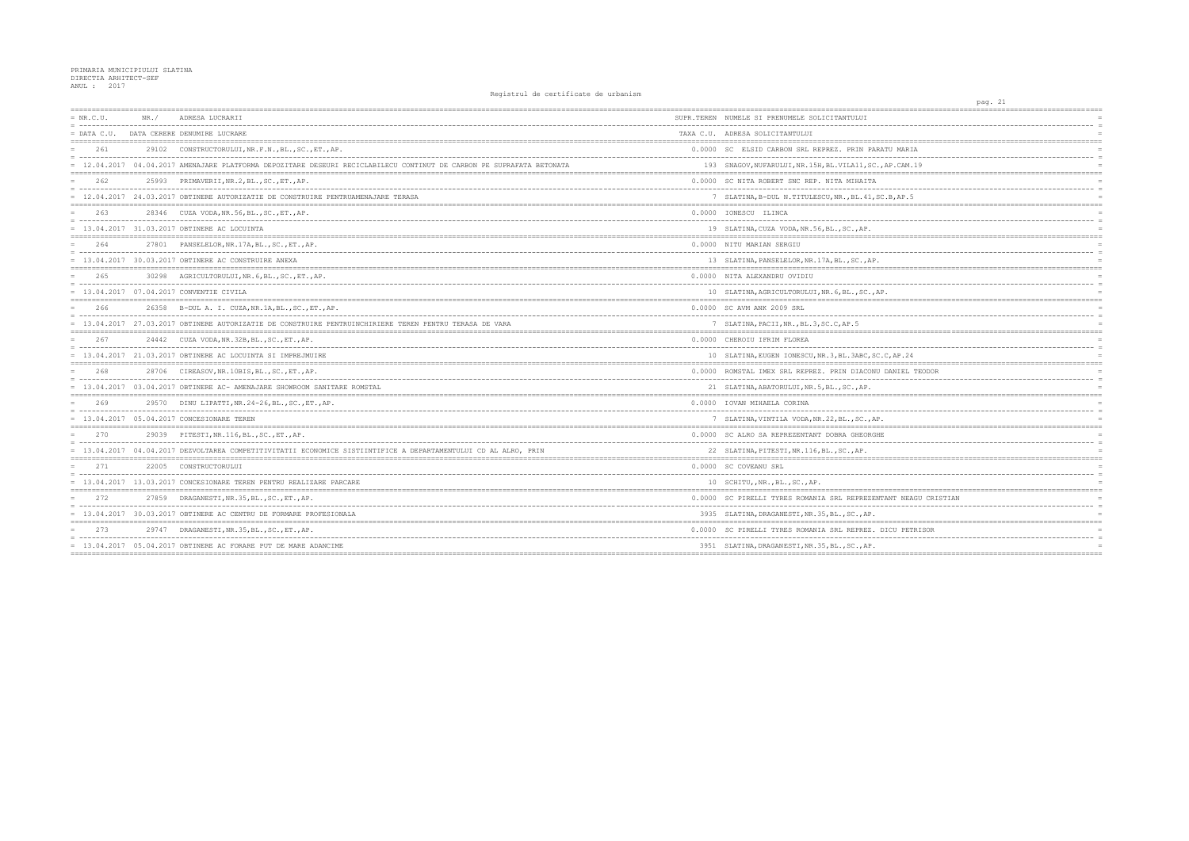## PRIMARIA MUNICIPIULUI SLATINA<br>DIRECTIA ARHITECT-SEF<br>ANUL : 2017

| $= NR.C.U.$ | NR. / | ADRESA LUCRARII                                                                                                     | SUPR.TEREN NUMELE SI PRENUMELE SOLICITANTULUI          |
|-------------|-------|---------------------------------------------------------------------------------------------------------------------|--------------------------------------------------------|
|             |       | = DATA C.U. DATA CERERE DENUMIRE LUCRARE                                                                            | TAXA C.U. ADRESA SOLICITANTULUI                        |
| 261         |       | 29102 CONSTRUCTORULUI, NR.F.N., BL., SC., ET., AP.                                                                  | 0.0000 SC ELSID CARBON SRL REPREZ. PRIN PARATU M       |
|             |       | 12.04.2017 04.04.2017 AMENAJARE PLATFORMA DEPOZITARE DESEURI RECICLABILECU CONTINUT DE CARBON PE SUPRAFATA BETONATA | 193 SNAGOV, NUFARULUI, NR. 15H, BL. VILA11, SC., AP.C. |
| 262         |       | 25993 PRIMAVERII, NR. 2, BL., SC., ET., AP.                                                                         | 0.0000 SC NITA ROBERT SNC REP. NITA MIHAITA            |
|             |       | = 12.04.2017 24.03.2017 OBTINERE AUTORIZATIE DE CONSTRUIRE PENTRUAMENAJARE TERASA                                   | 7 SLATINA, B-DUL N. TITULESCU, NR., BL. 41, SC. B, A   |
| 263         |       | 28346 CUZA VODA, NR. 56, BL., SC., ET., AP.                                                                         | 0.0000 IONESCU ILINCA                                  |
|             |       | = 13.04.2017 31.03.2017 OBTINERE AC LOCUINTA                                                                        | 19 SLATINA, CUZA VODA, NR. 56, BL., SC., AP.           |
| 264         |       | 27801 PANSELELOR, NR. 17A, BL., SC., ET., AP.                                                                       | 0.0000 NITU MARIAN SERGIU                              |
|             |       | $= 13.04.2017 30.03.2017$ OBTINERE AC CONSTRUIRE ANEXA                                                              | 13 SLATINA, PANSELELOR, NR. 17A, BL., SC., AP.         |
| 265         |       | 30298 AGRICULTORULUI, NR. 6, BL., SC., ET., AP.                                                                     | 0.0000 NITA ALEXANDRU OVIDIU                           |
|             |       | = 13.04.2017 07.04.2017 CONVENTIE CIVILA                                                                            | 10 SLATINA, AGRICULTORULUI, NR. 6, BL., SC., AP.       |
| 266         |       | 26358 B-DUL A. I. CUZA, NR. 1A, BL., SC., ET., AP.                                                                  | 0.0000 SC AVM ANK 2009 SRL                             |
|             |       | = 13.04.2017 27.03.2017 OBTINERE AUTORIZATIE DE CONSTRUIRE PENTRUINCHIRIERE TEREN PENTRU TERASA DE VARA             | 7 SLATINA, PACII, NR., BL.3, SC.C, AP.5                |
| 267         |       | 24442 CUZA VODA, NR. 32B, BL., SC., ET., AP.                                                                        | 0.0000 CHEROIU IFRIM FLOREA                            |
|             |       | $= 13.04.2017 21.03.2017$ OBTINERE AC LOCUINTA SI IMPREJMUIRE                                                       | 10 SLATINA, EUGEN IONESCU, NR. 3, BL. 3ABC, SC. C, AP  |
| 268         |       | 28706 CIREASOV, NR. 10BIS, BL., SC., ET., AP.                                                                       | 0.0000 ROMSTAL IMEX SRL REPREZ. PRIN DIACONU DANI      |
|             |       | = 13.04.2017 03.04.2017 OBTINERE AC- AMENAJARE SHOWROOM SANITARE ROMSTAL                                            | 21 SLATINA, ABATORULUI, NR. 5, BL., SC., AP.           |
| 269         |       | 29570 DINU LIPATTI, NR. 24-26, BL., SC., ET., AP.                                                                   | 0.0000 IOVAN MIHAELA CORINA                            |
|             |       | = 13.04.2017 05.04.2017 CONCESIONARE TEREN                                                                          | 7 SLATINA, VINTILA VODA, NR. 22, BL., SC., AP.         |
| 270         |       | 29039 PITESTI.NR.116.BLSCETAP.                                                                                      | 0.0000 SC ALRO SA REPREZENTANT DOBRA GHEORGHE          |
|             |       | = 13.04.2017 04.04.2017 DEZVOLTAREA COMPETITIVITATII ECONOMICE SISTIINTIFICE A DEPARTAMENTULUI CD AL ALRO, PRIN     | 22 SLATINA, PITESTI, NR.116, BL., SC., AP.             |
| 271         |       | 22005 CONSTRUCTORULUI                                                                                               | 0.0000 SC COVEANU SRL                                  |
|             |       | = 13.04.2017 13.03.2017 CONCESIONARE TEREN PENTRU REALIZARE PARCARE                                                 | 10 SCHITU, NR., BL., SC., AP.                          |
| 272         |       | 27859 DRAGANESTI, NR.35, BL., SC., ET., AP.                                                                         | 0.0000 SC PIRELLI TYRES ROMANIA SRL REPREZENTANT       |
|             |       | 13.04.2017 30.03.2017 OBTINERE AC CENTRU DE FORMARE PROFESIONALA                                                    | 3935 SLATINA, DRAGANESTI, NR. 35, BL., SC., AP.        |
| 273         |       | 29747 DRAGANESTI, NR. 35, BL., SC., ET., AP.                                                                        | 0.0000 SC PIRELLI TYRES ROMANIA SRL REPREZ. DICU       |
|             |       | $= 13.04.2017 05.04.2017$ OBTINERE AC FORARE PUT DE MARE ADANCIME                                                   | 3951 SLATINA, DRAGANESTI, NR. 35, BL., SC., AP.        |
|             |       |                                                                                                                     |                                                        |

|                     | pag. 21 |          |                      |
|---------------------|---------|----------|----------------------|
|                     |         |          |                      |
|                     |         |          | $\equiv$             |
|                     |         |          |                      |
|                     |         |          |                      |
| J MARIA             |         |          |                      |
| $--$                |         |          |                      |
| .CAM.19             |         |          |                      |
|                     |         |          |                      |
|                     |         |          |                      |
|                     |         | $\equiv$ |                      |
| 3, AP.5             |         |          | $\overline{a}$       |
|                     |         |          |                      |
|                     |         |          | $\equiv$             |
|                     |         |          |                      |
|                     |         |          |                      |
|                     |         |          |                      |
|                     |         |          | $\equiv$             |
|                     |         |          |                      |
|                     |         |          |                      |
|                     |         |          |                      |
|                     |         |          | $\equiv$             |
|                     |         |          |                      |
|                     |         |          |                      |
|                     |         |          |                      |
|                     |         |          | $\equiv$<br>$\equiv$ |
|                     |         |          |                      |
|                     |         |          |                      |
| --------            |         |          | $\equiv$             |
| AP.24               |         |          |                      |
|                     |         |          |                      |
| <b>NNIEL TEODOR</b> |         |          |                      |
|                     |         |          | $\equiv$             |
|                     |         |          |                      |
|                     |         |          |                      |
|                     |         |          |                      |
|                     |         |          | $\equiv$             |
|                     |         |          |                      |
|                     |         |          |                      |
|                     |         |          |                      |
|                     |         |          |                      |
|                     |         |          |                      |
|                     |         |          |                      |
|                     |         |          |                      |
|                     |         |          |                      |
|                     |         |          |                      |
| VT NEAGU CRISTIAN   |         |          |                      |
|                     |         |          | $\equiv$             |
|                     |         |          |                      |
|                     |         |          |                      |
| CU PETRISOR         |         |          |                      |
|                     |         |          |                      |
|                     |         |          |                      |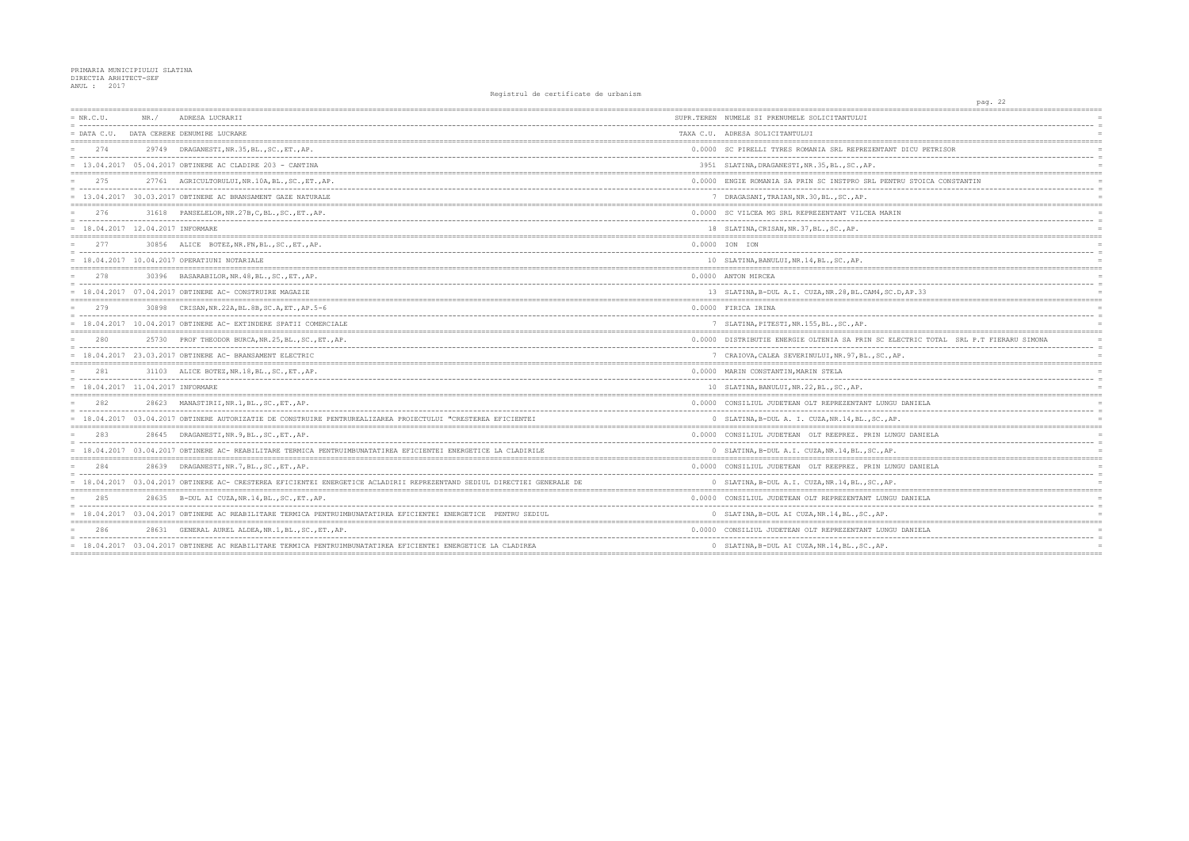| $= NR.C.U.$                         | NR. / | ADRESA LUCRARII                                                                                                        | SUPR.TEREN NUMELE SI PRENUMELE SOLICITANTULUI      |
|-------------------------------------|-------|------------------------------------------------------------------------------------------------------------------------|----------------------------------------------------|
| $=$ DATA C.U.                       |       | DATA CERERE DENUMIRE LUCRARE                                                                                           | TAXA C.U. ADRESA SOLICITANTULUI                    |
| 274                                 |       | 29749 DRAGANESTI, NR. 35, BL., SC., ET., AP.                                                                           | 0.0000 SC PIRELLI TYRES ROMANIA SRL REPREZENTANT   |
|                                     |       | $= 13.04.2017 05.04.2017$ OBTINERE AC CLADIRE 203 - CANTINA                                                            | 3951 SLATINA, DRAGANESTI, NR. 35, BL., SC., AP.    |
| 275                                 |       | 27761 AGRICULTORULUI, NR.10A, BL., SC., ET., AP.                                                                       | 0.0000 ENGIE ROMANIA SA PRIN SC INSTPRO SRL PENTI  |
|                                     |       | = 13.04.2017 30.03.2017 OBTINERE AC BRANSAMENT GAZE NATURALE                                                           | 7 DRAGASANI, TRAIAN, NR. 30, BL., SC., AP.         |
| 276                                 |       | 31618 PANSELELOR, NR. 27B, C, BL., SC., ET., AP.                                                                       | 0.0000 SC VILCEA MG SRL REPREZENTANT VILCEA MARII  |
| $= 18.04.2017 12.04.2017$ INFORMARE |       |                                                                                                                        | 18 SLATINA, CRISAN, NR. 37, BL., SC., AP.          |
| 277                                 |       | 30856 ALICE BOTEZ, NR. FN, BL., SC., ET., AP.                                                                          | 0.0000 ION ION                                     |
|                                     |       | = 18.04.2017 10.04.2017 OPERATIUNI NOTARIALE                                                                           | 10 SLATINA, BANULUI, NR. 14, BL., SC., AP.         |
| 278                                 |       | 30396 BASARABILOR, NR. 48, BL., SC., ET., AP.                                                                          | 0.0000 ANTON MIRCEA                                |
|                                     |       | $= 18.04.2017 07.04.2017$ OBTINERE AC- CONSTRUIRE MAGAZIE                                                              | 13 SLATINA, B-DUL A.I. CUZA, NR. 28, BL. CAM4, SC. |
| 279                                 | 30898 | CRISAN, NR. 22A, BL. 8B, SC. A, ET., AP. 5-6                                                                           | 0.0000 FIRICA IRINA                                |
|                                     |       | = 18.04.2017 10.04.2017 OBTINERE AC- EXTINDERE SPATII COMERCIALE                                                       | 7 SLATINA, PITESTI, NR. 155, BL., SC., AP.         |
| 280                                 |       | 25730 PROF THEODOR BURCA, NR. 25, BL., SC., ET., AP.                                                                   | 0.0000 DISTRIBUTIE ENERGIE OLTENIA SA PRIN SC EL   |
|                                     |       | $= 18.04.2017 23.03.2017$ OBTINERE AC- BRANSAMENT ELECTRIC                                                             | 7 CRAIOVA, CALEA SEVERINULUI, NR. 97, BL., SC., A  |
| 281                                 |       | 31103 ALICE BOTEZ, NR. 18, BL., SC., ET., AP.                                                                          | 0.0000 MARIN CONSTANTIN, MARIN STELA               |
| = 18.04.2017 11.04.2017 INFORMARE   |       |                                                                                                                        | 10 SLATINA, BANULUI, NR. 22, BL., SC., AP.         |
| 282                                 |       | 28623 MANASTIRII, NR.1, BL., SC., ET., AP.                                                                             | 0.0000 CONSILIUL JUDETEAN OLT REPREZENTANT LUNGU   |
|                                     |       | = 18.04.2017 03.04.2017 OBTINERE AUTORIZATIE DE CONSTRUIRE PENTRUREALIZAREA PROIECTULUI "CRESTEREA EFICIENTEI          | 0 SLATINA, B-DUL A. I. CUZA, NR. 14, BL., SC., AP  |
| 283                                 |       | 28645 DRAGANESTI, NR. 9, BL., SC., ET., AP.                                                                            | 0.0000 CONSILIUL JUDETEAN OLT REEPREZ. PRIN LUN    |
|                                     |       | = 18.04.2017 03.04.2017 OBTINERE AC- REABILITARE TERMICA PENTRUIMBUNATATIREA EFICIENTEI ENERGETICE LA CLADIRILE        | 0 SLATINA, B-DUL A.I. CUZA, NR.14, BL., SC., AP.   |
| 284                                 |       | 28639 DRAGANESTI, NR. 7, BL., SC., ET., AP.                                                                            | 0.0000 CONSILIUL JUDETEAN OLT REEPREZ. PRIN LUN    |
|                                     |       | 18.04.2017 03.04.2017 OBTINERE AC- CRESTEREA EFICIENTEI ENERGETICE ACLADIRII REPREZENTAND SEDIUL DIRECTIEI GENERALE DE | 0 SLATINA, B-DUL A.I. CUZA, NR.14, BL., SC., AP.   |
| 285                                 |       | 28635 B-DUL AI CUZA, NR.14, BL., SC., ET., AP.                                                                         | 0.0000 CONSILIUL JUDETEAN OLT REPREZENTANT LUNGU   |
|                                     |       | = 18.04.2017 03.04.2017 OBTINERE AC REABILITARE TERMICA PENTRUIMBUNATATIREA EFICIENTEI ENERGETICE PENTRU SEDIUL        | 0 SLATINA, B-DUL AI CUZA, NR.14, BL., SC., AP.     |
| 286                                 |       | 28631 GENERAL AUREL ALDEA, NR.1, BL., SC., ET., AP.                                                                    | 0.0000 CONSILIUL JUDETEAN OLT REPREZENTANT LUNGU   |
|                                     |       | = 18.04.2017 03.04.2017 OBTINERE AC REABILITARE TERMICA PENTRUIMBUNATATIREA EFICIENTEI ENERGETICE LA CLADIREA          | 0 SLATINA, B-DUL AI CUZA, NR.14, BL., SC., AP.     |
|                                     |       |                                                                                                                        |                                                    |

| $\equiv$        |
|-----------------|
|                 |
|                 |
|                 |
| $\equiv$        |
|                 |
|                 |
| $\equiv$        |
|                 |
|                 |
| $\equiv$        |
|                 |
|                 |
|                 |
| $\equiv$        |
|                 |
|                 |
| $\equiv$        |
|                 |
| ==========      |
|                 |
|                 |
|                 |
|                 |
|                 |
| $\equiv$        |
|                 |
|                 |
|                 |
| $\equiv$        |
|                 |
|                 |
| $\equiv$        |
|                 |
|                 |
|                 |
| $\equiv$<br>$=$ |
|                 |
|                 |
|                 |
|                 |
|                 |
|                 |
| $\equiv$        |
|                 |
|                 |
| $=$             |
|                 |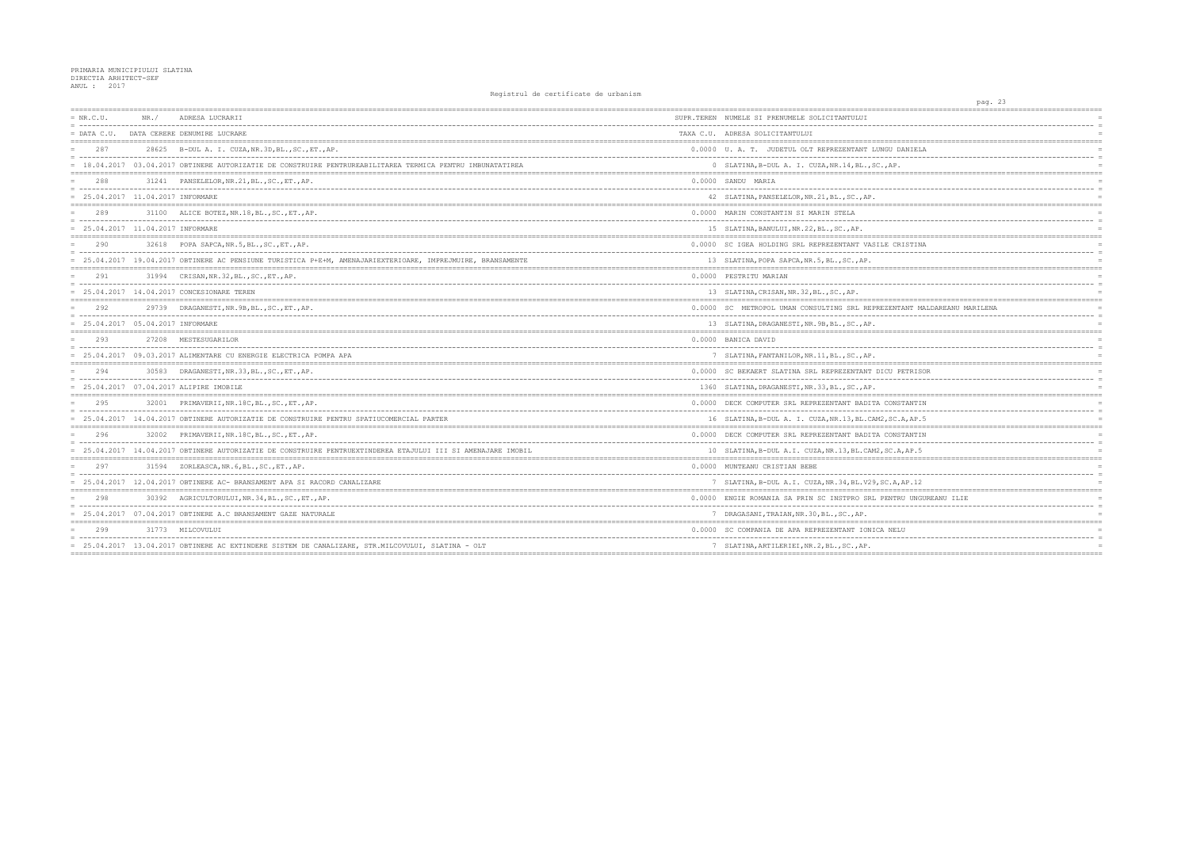| $= NR.C.U.$<br>NR. /<br>ADRESA LUCRARII<br>SUPR.TEREN NUMELE SI PRENUMELE SOLICITANTULUI<br>= DATA C.U. DATA CERERE DENUMIRE LUCRARE<br>TAXA C.U. ADRESA SOLICITANTULUI<br>287<br>28625 B-DUL A. I. CUZA, NR. 3D, BL., SC., ET., AP.<br>0.0000 U.A. T. JUDETUL OLT REPREZENTANT LUNGU<br>= 18.04.2017 03.04.2017 OBTINERE AUTORIZATIE DE CONSTRUIRE PENTRUREABILITAREA TERMICA PENTRU IMBUNATATIREA<br>288<br>31241 PANSELELOR, NR. 21, BL., SC., ET., AP.<br>0.0000 SANDU MARIA<br>$= 25.04.2017 11.04.2017$ INFORMARE<br>42 SLATINA, PANSELELOR, NR. 21, BL., SC., AP.<br>289<br>31100 ALICE BOTEZ, NR. 18, BL., SC., ET., AP.<br>0.0000 MARIN CONSTANTIN SI MARIN STELA<br>= 25.04.2017 11.04.2017 INFORMARE<br>15 SLATINA, BANULUI, NR. 22, BL., SC., AP.<br>0.0000 SC IGEA HOLDING SRL REPREZENTANT VASILE CI<br>290<br>32618 POPA SAPCA, NR. 5, BL., SC., ET., AP.<br>= 25.04.2017 19.04.2017 OBTINERE AC PENSIUNE TURISTICA P+E+M, AMENAJARIEXTERIOARE, IMPREJMUIRE, BRANSAMENTE<br>13 SLATINA, POPA SAPCA, NR. 5, BL., SC., AP.<br>291<br>31994 CRISAN, NR. 32, BL., SC., ET., AP.<br>0.0000 PESTRITU MARIAN<br>$=$<br>= 25.04.2017 14.04.2017 CONCESIONARE TEREN<br>13 SLATINA, CRISAN, NR. 32, BL., SC., AP.<br>292<br>29739 DRAGANESTI, NR. 9B, BL., SC., ET., AP.<br>0.0000 SC METROPOL UMAN CONSULTING SRL REPREZEN'<br>= 25.04.2017 05.04.2017 INFORMARE<br>13 SLATINA, DRAGANESTI, NR. 9B, BL., SC., AP.<br>293<br>27208 MESTESUGARILOR<br>0.0000 BANICA DAVID<br>= 25.04.2017 09.03.2017 ALIMENTARE CU ENERGIE ELECTRICA POMPA APA<br>7 SLATINA, FANTANILOR, NR. 11, BL., SC., AP.<br>294<br>30583 DRAGANESTI, NR. 33, BL., SC., ET., AP.<br>0.0000 SC BEKAERT SLATINA SRL REPREZENTANT DICU<br>$= 25.04.2017 07.04.2017$ ALIPIRE IMOBILE<br>1360 SLATINA, DRAGANESTI, NR. 33, BL., SC., AP.<br>295<br>32001 PRIMAVERII, NR. 18C, BL., SC., ET., AP.<br>0.0000 DECK COMPUTER SRL REPREZENTANT BADITA CON:<br>= 25.04.2017 14.04.2017 OBTINERE AUTORIZATIE DE CONSTRUIRE PENTRU SPATIUCOMERCIAL PARTER<br>296<br>32002 PRIMAVERII, NR. 18C, BL., SC., ET., AP.<br>0.0000 DECK COMPUTER SRL REPREZENTANT BADITA CON:<br>= 25.04.2017 14.04.2017 OBTINERE AUTORIZATIE DE CONSTRUIRE PENTRUEXTINDEREA ETAJULUI III SI AMENAJARE IMOBIL<br>297<br>31594 ZORLEASCA, NR. 6, BL., SC., ET., AP.<br>0.0000 MUNTEANU CRISTIAN BEBE<br>= 25.04.2017 12.04.2017 OBTINERE AC- BRANSAMENT APA SI RACORD CANALIZARE<br>298<br>0.0000 ENGIE ROMANIA SA PRIN SC INSTPRO SRL PENT<br>30392 AGRICULTORULUI, NR. 34, BL., SC., ET., AP.<br>= 25.04.2017 07.04.2017 OBTINERE A.C BRANSAMENT GAZE NATURALE<br>7 DRAGASANI, TRAIAN, NR. 30, BL., SC., AP.<br>0.0000 SC COMPANIA DE APA REPREZENTANT IONICA NE<br>299<br>31773<br>MILCOVULUI<br>= 25.04.2017 13.04.2017 OBTINERE AC EXTINDERE SISTEM DE CANALIZARE, STR.MILCOVULUI, SLATINA - OLT<br>7 SLATINA, ARTILERIEI, NR. 2, BL., SC., AP. |  |  |                                                    |
|------------------------------------------------------------------------------------------------------------------------------------------------------------------------------------------------------------------------------------------------------------------------------------------------------------------------------------------------------------------------------------------------------------------------------------------------------------------------------------------------------------------------------------------------------------------------------------------------------------------------------------------------------------------------------------------------------------------------------------------------------------------------------------------------------------------------------------------------------------------------------------------------------------------------------------------------------------------------------------------------------------------------------------------------------------------------------------------------------------------------------------------------------------------------------------------------------------------------------------------------------------------------------------------------------------------------------------------------------------------------------------------------------------------------------------------------------------------------------------------------------------------------------------------------------------------------------------------------------------------------------------------------------------------------------------------------------------------------------------------------------------------------------------------------------------------------------------------------------------------------------------------------------------------------------------------------------------------------------------------------------------------------------------------------------------------------------------------------------------------------------------------------------------------------------------------------------------------------------------------------------------------------------------------------------------------------------------------------------------------------------------------------------------------------------------------------------------------------------------------------------------------------------------------------------------------------------------------------------------------------------------------------------------------------------------------------------------------------------------------------------------------------------------------------------------------------------------------------------------------------------------------|--|--|----------------------------------------------------|
|                                                                                                                                                                                                                                                                                                                                                                                                                                                                                                                                                                                                                                                                                                                                                                                                                                                                                                                                                                                                                                                                                                                                                                                                                                                                                                                                                                                                                                                                                                                                                                                                                                                                                                                                                                                                                                                                                                                                                                                                                                                                                                                                                                                                                                                                                                                                                                                                                                                                                                                                                                                                                                                                                                                                                                                                                                                                                          |  |  |                                                    |
|                                                                                                                                                                                                                                                                                                                                                                                                                                                                                                                                                                                                                                                                                                                                                                                                                                                                                                                                                                                                                                                                                                                                                                                                                                                                                                                                                                                                                                                                                                                                                                                                                                                                                                                                                                                                                                                                                                                                                                                                                                                                                                                                                                                                                                                                                                                                                                                                                                                                                                                                                                                                                                                                                                                                                                                                                                                                                          |  |  |                                                    |
|                                                                                                                                                                                                                                                                                                                                                                                                                                                                                                                                                                                                                                                                                                                                                                                                                                                                                                                                                                                                                                                                                                                                                                                                                                                                                                                                                                                                                                                                                                                                                                                                                                                                                                                                                                                                                                                                                                                                                                                                                                                                                                                                                                                                                                                                                                                                                                                                                                                                                                                                                                                                                                                                                                                                                                                                                                                                                          |  |  |                                                    |
|                                                                                                                                                                                                                                                                                                                                                                                                                                                                                                                                                                                                                                                                                                                                                                                                                                                                                                                                                                                                                                                                                                                                                                                                                                                                                                                                                                                                                                                                                                                                                                                                                                                                                                                                                                                                                                                                                                                                                                                                                                                                                                                                                                                                                                                                                                                                                                                                                                                                                                                                                                                                                                                                                                                                                                                                                                                                                          |  |  | 0 SLATINA, B-DUL A. I. CUZA, NR.14, BL., SC., AP   |
|                                                                                                                                                                                                                                                                                                                                                                                                                                                                                                                                                                                                                                                                                                                                                                                                                                                                                                                                                                                                                                                                                                                                                                                                                                                                                                                                                                                                                                                                                                                                                                                                                                                                                                                                                                                                                                                                                                                                                                                                                                                                                                                                                                                                                                                                                                                                                                                                                                                                                                                                                                                                                                                                                                                                                                                                                                                                                          |  |  |                                                    |
|                                                                                                                                                                                                                                                                                                                                                                                                                                                                                                                                                                                                                                                                                                                                                                                                                                                                                                                                                                                                                                                                                                                                                                                                                                                                                                                                                                                                                                                                                                                                                                                                                                                                                                                                                                                                                                                                                                                                                                                                                                                                                                                                                                                                                                                                                                                                                                                                                                                                                                                                                                                                                                                                                                                                                                                                                                                                                          |  |  |                                                    |
|                                                                                                                                                                                                                                                                                                                                                                                                                                                                                                                                                                                                                                                                                                                                                                                                                                                                                                                                                                                                                                                                                                                                                                                                                                                                                                                                                                                                                                                                                                                                                                                                                                                                                                                                                                                                                                                                                                                                                                                                                                                                                                                                                                                                                                                                                                                                                                                                                                                                                                                                                                                                                                                                                                                                                                                                                                                                                          |  |  |                                                    |
|                                                                                                                                                                                                                                                                                                                                                                                                                                                                                                                                                                                                                                                                                                                                                                                                                                                                                                                                                                                                                                                                                                                                                                                                                                                                                                                                                                                                                                                                                                                                                                                                                                                                                                                                                                                                                                                                                                                                                                                                                                                                                                                                                                                                                                                                                                                                                                                                                                                                                                                                                                                                                                                                                                                                                                                                                                                                                          |  |  |                                                    |
|                                                                                                                                                                                                                                                                                                                                                                                                                                                                                                                                                                                                                                                                                                                                                                                                                                                                                                                                                                                                                                                                                                                                                                                                                                                                                                                                                                                                                                                                                                                                                                                                                                                                                                                                                                                                                                                                                                                                                                                                                                                                                                                                                                                                                                                                                                                                                                                                                                                                                                                                                                                                                                                                                                                                                                                                                                                                                          |  |  |                                                    |
|                                                                                                                                                                                                                                                                                                                                                                                                                                                                                                                                                                                                                                                                                                                                                                                                                                                                                                                                                                                                                                                                                                                                                                                                                                                                                                                                                                                                                                                                                                                                                                                                                                                                                                                                                                                                                                                                                                                                                                                                                                                                                                                                                                                                                                                                                                                                                                                                                                                                                                                                                                                                                                                                                                                                                                                                                                                                                          |  |  |                                                    |
|                                                                                                                                                                                                                                                                                                                                                                                                                                                                                                                                                                                                                                                                                                                                                                                                                                                                                                                                                                                                                                                                                                                                                                                                                                                                                                                                                                                                                                                                                                                                                                                                                                                                                                                                                                                                                                                                                                                                                                                                                                                                                                                                                                                                                                                                                                                                                                                                                                                                                                                                                                                                                                                                                                                                                                                                                                                                                          |  |  |                                                    |
|                                                                                                                                                                                                                                                                                                                                                                                                                                                                                                                                                                                                                                                                                                                                                                                                                                                                                                                                                                                                                                                                                                                                                                                                                                                                                                                                                                                                                                                                                                                                                                                                                                                                                                                                                                                                                                                                                                                                                                                                                                                                                                                                                                                                                                                                                                                                                                                                                                                                                                                                                                                                                                                                                                                                                                                                                                                                                          |  |  |                                                    |
|                                                                                                                                                                                                                                                                                                                                                                                                                                                                                                                                                                                                                                                                                                                                                                                                                                                                                                                                                                                                                                                                                                                                                                                                                                                                                                                                                                                                                                                                                                                                                                                                                                                                                                                                                                                                                                                                                                                                                                                                                                                                                                                                                                                                                                                                                                                                                                                                                                                                                                                                                                                                                                                                                                                                                                                                                                                                                          |  |  |                                                    |
|                                                                                                                                                                                                                                                                                                                                                                                                                                                                                                                                                                                                                                                                                                                                                                                                                                                                                                                                                                                                                                                                                                                                                                                                                                                                                                                                                                                                                                                                                                                                                                                                                                                                                                                                                                                                                                                                                                                                                                                                                                                                                                                                                                                                                                                                                                                                                                                                                                                                                                                                                                                                                                                                                                                                                                                                                                                                                          |  |  |                                                    |
|                                                                                                                                                                                                                                                                                                                                                                                                                                                                                                                                                                                                                                                                                                                                                                                                                                                                                                                                                                                                                                                                                                                                                                                                                                                                                                                                                                                                                                                                                                                                                                                                                                                                                                                                                                                                                                                                                                                                                                                                                                                                                                                                                                                                                                                                                                                                                                                                                                                                                                                                                                                                                                                                                                                                                                                                                                                                                          |  |  |                                                    |
|                                                                                                                                                                                                                                                                                                                                                                                                                                                                                                                                                                                                                                                                                                                                                                                                                                                                                                                                                                                                                                                                                                                                                                                                                                                                                                                                                                                                                                                                                                                                                                                                                                                                                                                                                                                                                                                                                                                                                                                                                                                                                                                                                                                                                                                                                                                                                                                                                                                                                                                                                                                                                                                                                                                                                                                                                                                                                          |  |  |                                                    |
|                                                                                                                                                                                                                                                                                                                                                                                                                                                                                                                                                                                                                                                                                                                                                                                                                                                                                                                                                                                                                                                                                                                                                                                                                                                                                                                                                                                                                                                                                                                                                                                                                                                                                                                                                                                                                                                                                                                                                                                                                                                                                                                                                                                                                                                                                                                                                                                                                                                                                                                                                                                                                                                                                                                                                                                                                                                                                          |  |  |                                                    |
|                                                                                                                                                                                                                                                                                                                                                                                                                                                                                                                                                                                                                                                                                                                                                                                                                                                                                                                                                                                                                                                                                                                                                                                                                                                                                                                                                                                                                                                                                                                                                                                                                                                                                                                                                                                                                                                                                                                                                                                                                                                                                                                                                                                                                                                                                                                                                                                                                                                                                                                                                                                                                                                                                                                                                                                                                                                                                          |  |  |                                                    |
|                                                                                                                                                                                                                                                                                                                                                                                                                                                                                                                                                                                                                                                                                                                                                                                                                                                                                                                                                                                                                                                                                                                                                                                                                                                                                                                                                                                                                                                                                                                                                                                                                                                                                                                                                                                                                                                                                                                                                                                                                                                                                                                                                                                                                                                                                                                                                                                                                                                                                                                                                                                                                                                                                                                                                                                                                                                                                          |  |  |                                                    |
|                                                                                                                                                                                                                                                                                                                                                                                                                                                                                                                                                                                                                                                                                                                                                                                                                                                                                                                                                                                                                                                                                                                                                                                                                                                                                                                                                                                                                                                                                                                                                                                                                                                                                                                                                                                                                                                                                                                                                                                                                                                                                                                                                                                                                                                                                                                                                                                                                                                                                                                                                                                                                                                                                                                                                                                                                                                                                          |  |  | 16 SLATINA, B-DUL A. I. CUZA, NR. 13, BL. CAM2, SC |
|                                                                                                                                                                                                                                                                                                                                                                                                                                                                                                                                                                                                                                                                                                                                                                                                                                                                                                                                                                                                                                                                                                                                                                                                                                                                                                                                                                                                                                                                                                                                                                                                                                                                                                                                                                                                                                                                                                                                                                                                                                                                                                                                                                                                                                                                                                                                                                                                                                                                                                                                                                                                                                                                                                                                                                                                                                                                                          |  |  |                                                    |
|                                                                                                                                                                                                                                                                                                                                                                                                                                                                                                                                                                                                                                                                                                                                                                                                                                                                                                                                                                                                                                                                                                                                                                                                                                                                                                                                                                                                                                                                                                                                                                                                                                                                                                                                                                                                                                                                                                                                                                                                                                                                                                                                                                                                                                                                                                                                                                                                                                                                                                                                                                                                                                                                                                                                                                                                                                                                                          |  |  | 10 SLATINA, B-DUL A.I. CUZA, NR.13, BL.CAM2, SC.   |
|                                                                                                                                                                                                                                                                                                                                                                                                                                                                                                                                                                                                                                                                                                                                                                                                                                                                                                                                                                                                                                                                                                                                                                                                                                                                                                                                                                                                                                                                                                                                                                                                                                                                                                                                                                                                                                                                                                                                                                                                                                                                                                                                                                                                                                                                                                                                                                                                                                                                                                                                                                                                                                                                                                                                                                                                                                                                                          |  |  |                                                    |
|                                                                                                                                                                                                                                                                                                                                                                                                                                                                                                                                                                                                                                                                                                                                                                                                                                                                                                                                                                                                                                                                                                                                                                                                                                                                                                                                                                                                                                                                                                                                                                                                                                                                                                                                                                                                                                                                                                                                                                                                                                                                                                                                                                                                                                                                                                                                                                                                                                                                                                                                                                                                                                                                                                                                                                                                                                                                                          |  |  | 7 SLATINA, B-DUL A.I. CUZA, NR.34, BL.V29, SC.A    |
|                                                                                                                                                                                                                                                                                                                                                                                                                                                                                                                                                                                                                                                                                                                                                                                                                                                                                                                                                                                                                                                                                                                                                                                                                                                                                                                                                                                                                                                                                                                                                                                                                                                                                                                                                                                                                                                                                                                                                                                                                                                                                                                                                                                                                                                                                                                                                                                                                                                                                                                                                                                                                                                                                                                                                                                                                                                                                          |  |  |                                                    |
|                                                                                                                                                                                                                                                                                                                                                                                                                                                                                                                                                                                                                                                                                                                                                                                                                                                                                                                                                                                                                                                                                                                                                                                                                                                                                                                                                                                                                                                                                                                                                                                                                                                                                                                                                                                                                                                                                                                                                                                                                                                                                                                                                                                                                                                                                                                                                                                                                                                                                                                                                                                                                                                                                                                                                                                                                                                                                          |  |  |                                                    |
|                                                                                                                                                                                                                                                                                                                                                                                                                                                                                                                                                                                                                                                                                                                                                                                                                                                                                                                                                                                                                                                                                                                                                                                                                                                                                                                                                                                                                                                                                                                                                                                                                                                                                                                                                                                                                                                                                                                                                                                                                                                                                                                                                                                                                                                                                                                                                                                                                                                                                                                                                                                                                                                                                                                                                                                                                                                                                          |  |  |                                                    |
|                                                                                                                                                                                                                                                                                                                                                                                                                                                                                                                                                                                                                                                                                                                                                                                                                                                                                                                                                                                                                                                                                                                                                                                                                                                                                                                                                                                                                                                                                                                                                                                                                                                                                                                                                                                                                                                                                                                                                                                                                                                                                                                                                                                                                                                                                                                                                                                                                                                                                                                                                                                                                                                                                                                                                                                                                                                                                          |  |  |                                                    |

|                          | pag. 23 |                                 |  |             |                                  |
|--------------------------|---------|---------------------------------|--|-------------|----------------------------------|
| ----------------         |         | :============================== |  |             |                                  |
| --------                 |         |                                 |  |             | $\overline{a}$                   |
|                          |         |                                 |  |             |                                  |
| <b>DANIELA</b>           |         |                                 |  |             |                                  |
|                          |         |                                 |  |             | $\equiv$                         |
|                          |         |                                 |  |             | $\equiv$                         |
|                          |         |                                 |  |             |                                  |
|                          |         |                                 |  |             | $\overline{a}$                   |
|                          |         |                                 |  |             |                                  |
| =========                |         |                                 |  |             |                                  |
|                          |         |                                 |  |             | $=$<br>$\equiv$                  |
|                          |         |                                 |  |             | $=$                              |
|                          |         |                                 |  |             |                                  |
| RISTINA                  |         |                                 |  |             |                                  |
|                          |         |                                 |  |             | $\overline{a}$                   |
|                          |         |                                 |  |             |                                  |
|                          |         |                                 |  |             |                                  |
|                          |         |                                 |  |             | $\equiv$                         |
|                          |         |                                 |  |             |                                  |
| TANT MALDAREANU MARILENA |         |                                 |  |             |                                  |
|                          |         |                                 |  |             | $\overline{a}$                   |
|                          |         |                                 |  |             | $\equiv$                         |
|                          |         |                                 |  |             |                                  |
|                          |         |                                 |  |             | $=$<br>$\overline{a}$            |
|                          |         |                                 |  |             |                                  |
|                          |         |                                 |  |             |                                  |
| PETRISOR                 |         |                                 |  |             |                                  |
|                          |         |                                 |  |             | $\equiv$                         |
|                          |         |                                 |  |             |                                  |
| <b>STANTIN</b>           |         |                                 |  |             |                                  |
|                          |         |                                 |  |             | $\overline{a}$                   |
| A, AP.5                  |         |                                 |  | $=$ $=$ $=$ | $\equiv$                         |
| <b>STANTIN</b>           |         |                                 |  |             |                                  |
|                          |         |                                 |  |             | $\overline{a}$                   |
| A, AP.5                  |         |                                 |  |             | Ē.                               |
|                          |         |                                 |  |             |                                  |
| .                        |         |                                 |  |             | $\overline{a}$                   |
| AP.12                    |         |                                 |  |             |                                  |
|                          |         |                                 |  |             |                                  |
| RU UNGUREANU ILIE        |         |                                 |  |             | E<br>$\overline{a}$              |
|                          |         |                                 |  |             | $\equiv$                         |
| $=$                      |         |                                 |  |             | $=$                              |
| JU.                      |         |                                 |  |             |                                  |
|                          |         |                                 |  |             | $\overline{a}$<br>$\overline{a}$ |
|                          |         |                                 |  |             |                                  |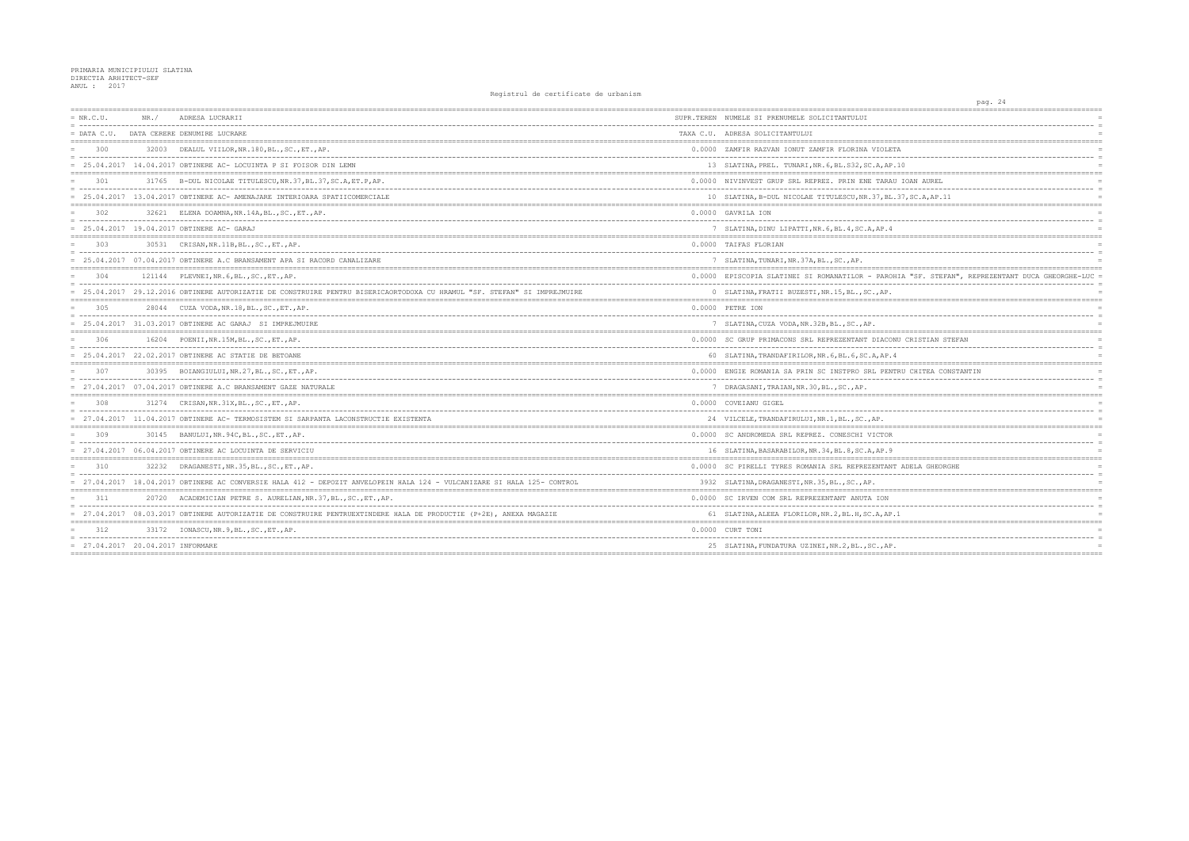| $= NR.C.U.$                       | NR. / | ADRESA LUCRARII                                                                                                          | SUPR.TEREN NUMELE SI PRENUMELE SOLICITANTULUI          |
|-----------------------------------|-------|--------------------------------------------------------------------------------------------------------------------------|--------------------------------------------------------|
| $=$ DATA C.U.                     |       | DATA CERERE DENUMIRE LUCRARE                                                                                             | TAXA C.U. ADRESA SOLICITANTULUI                        |
| 300                               |       | 32003 DEALUL VIILOR, NR. 180, BL., SC., ET., AP.                                                                         | 0.0000 ZAMFIR RAZVAN IONUT ZAMFIR FLORINA VIOLETA      |
|                                   |       | = 25.04.2017 14.04.2017 OBTINERE AC- LOCUINTA P SI FOISOR DIN LEMN                                                       | 13 SLATINA, PREL. TUNARI, NR. 6, BL. S32, SC. A, AP. 1 |
| 301                               |       | 31765 B-DUL NICOLAE TITULESCU, NR. 37, BL. 37, SC. A, ET. P, AP.                                                         | 0.0000 NIVINVEST GRUP SRL REPREZ. PRIN ENE TARAU       |
|                                   |       | = 25.04.2017 13.04.2017 OBTINERE AC- AMENAJARE INTERIOARA SPATIICOMERCIALE                                               | 10 SLATINA, B-DUL NICOLAE TITULESCU, NR. 37, BL. 3     |
| 302                               |       | 32621 ELENA DOAMNA, NR.14A, BL., SC., ET., AP.                                                                           | 0.0000 GAVRILA ION                                     |
|                                   |       | = 25.04.2017 19.04.2017 OBTINERE AC- GARAJ                                                                               | 7 SLATINA, DINU LIPATTI, NR. 6, BL. 4, SC. A, AP. 4    |
| 303                               |       | 30531 CRISAN, NR. 11B, BL., SC., ET., AP.                                                                                | 0.0000 TAIFAS FLORIAN                                  |
|                                   |       | $= 25.04.2017$ 07.04.2017 OBTINERE A.C BRANSAMENT APA SI RACORD CANALIZARE                                               | 7 SLATINA, TUNARI, NR. 37A, BL., SC., AP.              |
| 304                               |       | 121144 PLEVNEI, NR. 6, BL., SC., ET., AP.                                                                                | 0.0000 EPISCOPIA SLATINEI SI ROMANATILOR - PAROHI      |
|                                   |       | = 25.04.2017 29.12.2016 OBTINERE AUTORIZATIE DE CONSTRUIRE PENTRU BISERICAORTODOXA CU HRAMUL "SF. STEFAN" SI IMPREJMUIRE | 0 SLATINA, FRATII BUZESTI, NR. 15, BL., SC., AP.       |
| 305                               |       | 28044 CUZA VODA, NR. 18, BL., SC., ET., AP.                                                                              | 0.0000 PETRE ION                                       |
|                                   |       | $= 25.04.2017$ 31.03.2017 OBTINERE AC GARAJ SI IMPREJMUIRE                                                               | 7 SLATINA, CUZA VODA, NR. 32B, BL., SC., AP.           |
| 306                               |       | 16204 POENII, NR. 15M, BL., SC., ET., AP.                                                                                | 0.0000 SC GRUP PRIMACONS SRL REPREZENTANT DIACONU      |
|                                   |       | $= 25.04.2017 22.02.2017$ OBTINERE AC STATIE DE BETOANE                                                                  | 60 SLATINA, TRANDAFIRILOR, NR. 6, BL. 6, SC. A, AP. 4  |
| 307                               |       | 30395 BOIANGIULUI, NR. 27, BL., SC., ET., AP.                                                                            | 0.0000 ENGIE ROMANIA SA PRIN SC INSTPRO SRL PENTRI     |
|                                   |       | 27.04.2017 07.04.2017 OBTINERE A.C BRANSAMENT GAZE NATURALE                                                              | 7 DRAGASANI, TRAIAN, NR. 30, BL., SC., AP.             |
| 308                               |       | 31274 CRISAN, NR. 31X, BL., SC., ET., AP.                                                                                | 0.0000 COVEIANU GIGEL                                  |
|                                   |       | = 27.04.2017 11.04.2017 OBTINERE AC- TERMOSISTEM SI SARPANTA LACONSTRUCTIE EXISTENTA                                     | 24 VILCELE, TRANDAFIRULUI, NR.1, BL., SC., AP.         |
| 309                               |       | 30145 BANULUI, NR. 94C, BL., SC., ET., AP.                                                                               | 0.0000 SC ANDROMEDA SRL REPREZ. CONESCHI VICTOR        |
|                                   |       | $= 27.04.2017$ 06.04.2017 OBTINERE AC LOCUINTA DE SERVICIU                                                               | 16 SLATINA, BASARABILOR, NR. 34, BL. 8, SC. A, AP. 9   |
| 310                               |       | 32232 DRAGANESTI, NR. 35, BL., SC., ET., AP.                                                                             | 0.0000 SC PIRELLI TYRES ROMANIA SRL REPREZENTANT       |
|                                   |       | 27.04.2017 18.04.2017 OBTINERE AC CONVERSIE HALA 412 - DEPOZIT ANVELOPEIN HALA 124 - VULCANIZARE SI HALA 125- CONTROL    | 3932 SLATINA, DRAGANESTI, NR. 35, BL., SC., AP.        |
| 311                               |       | 20720 ACADEMICIAN PETRE S. AURELIAN, NR. 37, BL., SC., ET., AP.                                                          | 0.0000 SC IRVEN COM SRL REPREZENTANT ANUTA ION         |
|                                   |       | = 27.04.2017 08.03.2017 OBTINERE AUTORIZATIE DE CONSTRUIRE PENTRUEXTINDERE HALA DE PRODUCTIE (P+2E), ANEXA MAGAZIE       | 61 SLATINA, ALEEA FLORILOR, NR. 2, BL. H, SC. A, AP. 1 |
| 312                               |       | 33172 IONASCU, NR. 9, BL., SC., ET., AP.                                                                                 | 0.0000 CURT TONI                                       |
| = 27.04.2017 20.04.2017 INFORMARE |       |                                                                                                                          | 25 SLATINA, FUNDATURA UZINEI, NR. 2, BL., SC., AP.     |
|                                   |       |                                                                                                                          |                                                        |

| pag. 24                                                    |          |
|------------------------------------------------------------|----------|
| ====================<br>================================== |          |
|                                                            |          |
|                                                            | $=$      |
|                                                            |          |
| TΑ                                                         |          |
| ----                                                       |          |
| .10                                                        |          |
|                                                            |          |
| U IOAN AUREL                                               |          |
| .                                                          | $\equiv$ |
| $.37,$ SC.A, AP. 11                                        | $=$      |
|                                                            |          |
|                                                            | $\equiv$ |
|                                                            |          |
|                                                            |          |
|                                                            |          |
|                                                            |          |
|                                                            |          |
|                                                            |          |
| HIA "SF. STEFAN", REPREZENTANT DUCA GHEORGHE-LUC =         |          |
|                                                            |          |
|                                                            |          |
|                                                            |          |
|                                                            |          |
|                                                            |          |
|                                                            |          |
| NU CRISTIAN STEFAN                                         |          |
|                                                            | $\equiv$ |
| 4                                                          |          |
|                                                            |          |
| TRU CHITEA CONSTANTIN                                      |          |
|                                                            | $\equiv$ |
|                                                            |          |
|                                                            |          |
|                                                            |          |
|                                                            |          |
|                                                            |          |
|                                                            |          |
|                                                            |          |
|                                                            |          |
|                                                            |          |
| T ADELA GHEORGHE                                           |          |
|                                                            |          |
|                                                            |          |
|                                                            |          |
|                                                            |          |
| $\cdot$ 1                                                  | $\equiv$ |
|                                                            |          |
|                                                            |          |
|                                                            |          |
|                                                            |          |
|                                                            |          |